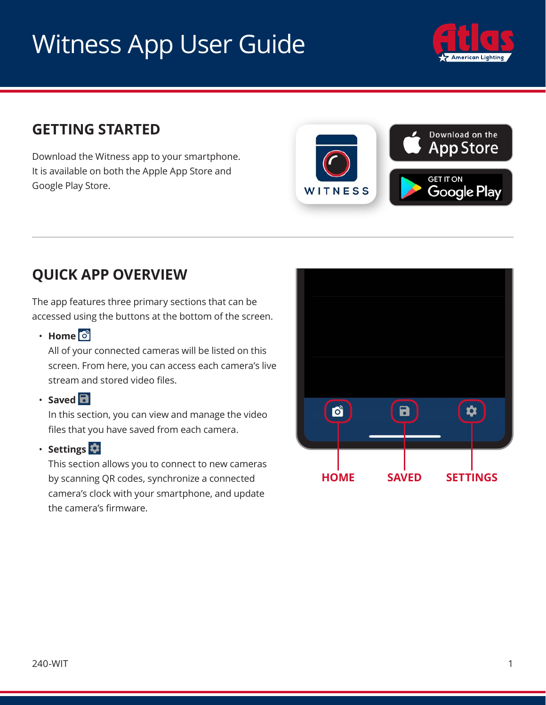# Witness App User Guide



### **GETTING STARTED**

Download the Witness app to your smartphone. It is available on both the Apple App Store and Google Play Store.



# **QUICK APP OVERVIEW**

The app features three primary sections that can be accessed using the buttons at the bottom of the screen.

 $\cdot$  **Home**  $\circ$ 

 All of your connected cameras will be listed on this screen. From here, you can access each camera's live stream and stored video files.

 $\cdot$  **Saved**  $\blacksquare$ 

 In this section, you can view and manage the video files that you have saved from each camera.

• **Settings** 

 This section allows you to connect to new cameras by scanning QR codes, synchronize a connected camera's clock with your smartphone, and update the camera's firmware.

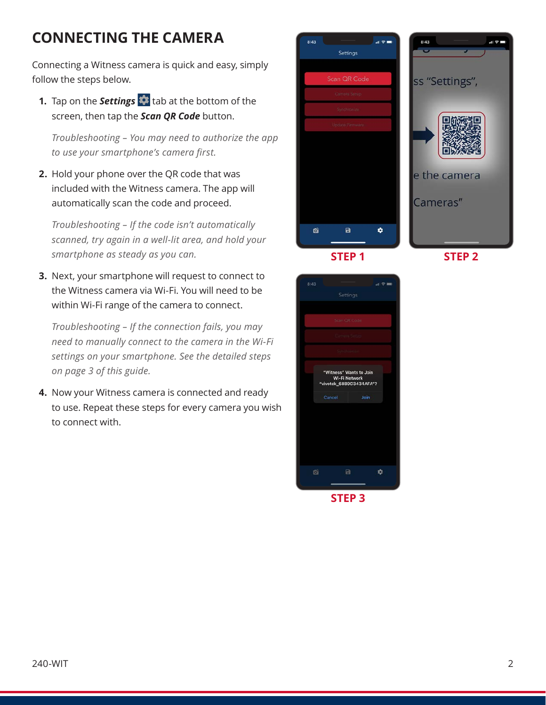### **CONNECTING THE CAMERA**

Connecting a Witness camera is quick and easy, simply follow the steps below.

**1.** Tap on the **Settings th** tab at the bottom of the screen, then tap the *Scan QR Code* button.

*Troubleshooting – You may need to authorize the app to use your smartphone's camera first.*

**2.** Hold your phone over the QR code that was included with the Witness camera. The app will automatically scan the code and proceed.

*Troubleshooting – If the code isn't automatically scanned, try again in a well-lit area, and hold your smartphone as steady as you can.*

**3.** Next, your smartphone will request to connect to the Witness camera via Wi-Fi. You will need to be within Wi-Fi range of the camera to connect.

*Troubleshooting – If the connection fails, you may need to manually connect to the camera in the Wi-Fi settings on your smartphone. See the detailed steps on page 3 of this guide.*

**4.** Now your Witness camera is connected and ready to use. Repeat these steps for every camera you wish to connect with.



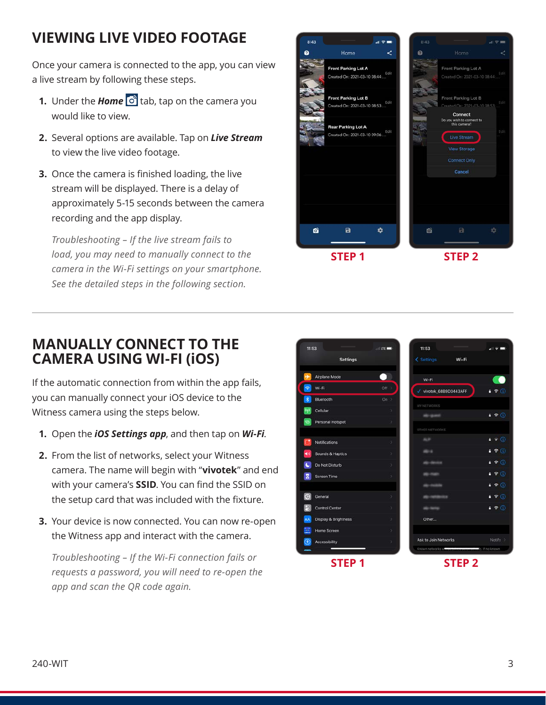# **VIEWING LIVE VIDEO FOOTAGE**

Once your camera is connected to the app, you can view a live stream by following these steps.

- **1.** Under the **Home o** tab, tap on the camera you would like to view.
- **2.** Several options are available. Tap on *Live Stream* to view the live video footage.
- **3.** Once the camera is finished loading, the live stream will be displayed. There is a delay of approximately 5-15 seconds between the camera recording and the app display.

*Troubleshooting – If the live stream fails to load, you may need to manually connect to the camera in the Wi-Fi settings on your smartphone. See the detailed steps in the following section.*

#### **MANUALLY CONNECT TO THE CAMERA USING WI-FI (iOS)**

If the automatic connection from within the app fails, you can manually connect your iOS device to the Witness camera using the steps below.

- **1.** Open the *iOS Settings app*, and then tap on *Wi-Fi*.
- **2.** From the list of networks, select your Witness camera. The name will begin with "**vivotek**" and end with your camera's **SSID**. You can find the SSID on the setup card that was included with the fixture.
- **3.** Your device is now connected. You can now re-open the Witness app and interact with the camera.

*Troubleshooting – If the Wi-Fi connection fails or requests a password, you will need to re-open the app and scan the QR code again.*



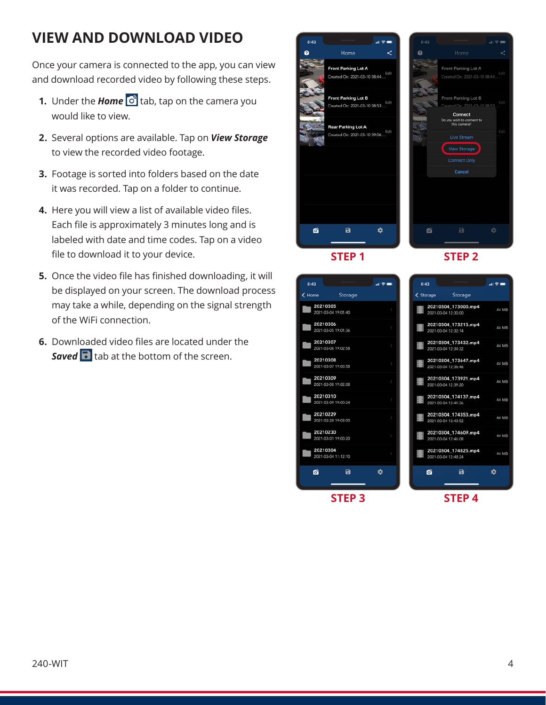### **VIEW AND DOWNLOAD VIDEO**

Once your camera is connected to the app, you can view and download recorded video by following these steps.

- **1.** Under the **Home o** tab, tap on the camera you would like to view.
- **2.** Several options are available. Tap on *View Storage* to view the recorded video footage.
- **3.** Footage is sorted into folders based on the date it was recorded. Tap on a folder to continue.
- **4.** Here you will view a list of available video files. Each file is approximately 3 minutes long and is labeled with date and time codes. Tap on a video file to download it to your device.
- **5.** Once the video file has finished downloading, it will be displayed on your screen. The download process may take a while, depending on the signal strength of the WiFi connection.
- **6.** Downloaded video files are located under the *Saved* **c** tab at the bottom of the screen.





**STEP 1**

**STEP 2**

0.mp4

5.mp4

 $32$ .mp4

47.mp4

21.mp4

37.mp4

53.mp4

 $9mp4$ 

25.mp4

 $\mathbf{a}$ 

44 MB

44 MB

44 MB

44 MB

44 MB

44 MB

44 MB

44 MB

44 MB

\*

**P** 4

| 1.43     |                     | $\mathbf{m} \otimes \mathbf{m}$ | 8:43              |                                     |
|----------|---------------------|---------------------------------|-------------------|-------------------------------------|
| lome     | Storage             |                                 | < Storage         | Stor                                |
| 20210305 | 2021-03-04 19:01:40 |                                 | 讕                 | 20210304 1730<br>2021-03-04 12:30:0 |
| 20210306 | 2021-03-05 19:01:36 |                                 | 矖                 | 20210304 1732<br>2021-03-04 12:32:1 |
| 20210307 | 2021-03-06 19:02:58 | s                               | 20210304_1734     | 2021-03-04 12:34:3                  |
| 20210308 | 2021-03-07 19:00:58 |                                 | 矖                 | 20210304 1736<br>2021-03-04 12:36:4 |
| 20210309 | 2021-03-08 19:02:08 | ×                               | 矖                 | 20210304_1739<br>2021-03-04 12:39:2 |
| 20210310 | 2021-03-09 19:00:24 |                                 | 驪                 | 20210304_1741<br>2021-03-04 12:41:3 |
| 20210229 | 2021-02-28 19:03:00 | y                               | 矖                 | 20210304_1743<br>2021-03-04 12:43:5 |
| 20210230 | 2021-03-01 19:00:20 |                                 | 矖                 | 20210304 1746<br>2021-03-04 12:46:0 |
| 20210304 | 2021-03-04 11:12:10 |                                 | 202103-04 12:48:2 | 20210304 1748                       |
| Õ        | A                   | ☆                               | Õ                 | E                                   |
|          | <b>STEP3</b>        |                                 |                   | <b>STE</b>                          |